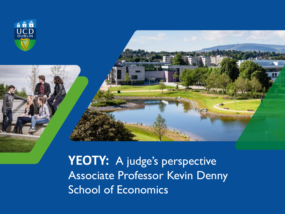

**YEOTY:** A judge's perspective Associate Professor Kevin Denny School of Economics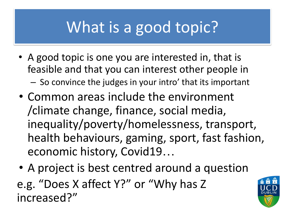## What is a good topic?

- A good topic is one you are interested in, that is feasible and that you can interest other people in – So convince the judges in your intro' that its important
- Common areas include the environment /climate change, finance, social media, inequality/poverty/homelessness, transport, health behaviours, gaming, sport, fast fashion, economic history, Covid19…
- A project is best centred around a question
- e.g. "Does X affect Y?" or "Why has Z increased?"

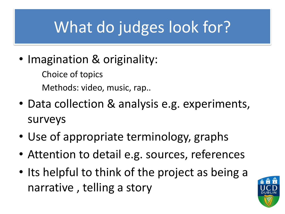## What do judges look for?

• Imagination & originality:

Choice of topics Methods: video, music, rap..

- Data collection & analysis e.g. experiments, surveys
- Use of appropriate terminology, graphs
- Attention to detail e.g. sources, references
- Its helpful to think of the project as being a narrative , telling a story

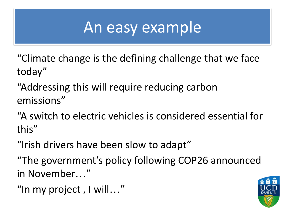## An easy example

"Climate change is the defining challenge that we face today"

"Addressing this will require reducing carbon emissions"

"A switch to electric vehicles is considered essential for this"

"Irish drivers have been slow to adapt"

"The government's policy following COP26 announced in November…"

"In my project , I will…"